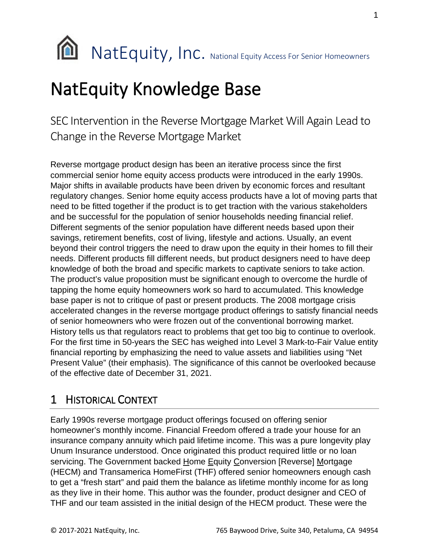

# NatEquity Knowledge Base

SEC Intervention in the Reverse Mortgage Market Will Again Lead to Change in the Reverse Mortgage Market

Reverse mortgage product design has been an iterative process since the first commercial senior home equity access products were introduced in the early 1990s. Major shifts in available products have been driven by economic forces and resultant regulatory changes. Senior home equity access products have a lot of moving parts that need to be fitted together if the product is to get traction with the various stakeholders and be successful for the population of senior households needing financial relief. Different segments of the senior population have different needs based upon their savings, retirement benefits, cost of living, lifestyle and actions. Usually, an event beyond their control triggers the need to draw upon the equity in their homes to fill their needs. Different products fill different needs, but product designers need to have deep knowledge of both the broad and specific markets to captivate seniors to take action. The product's value proposition must be significant enough to overcome the hurdle of tapping the home equity homeowners work so hard to accumulated. This knowledge base paper is not to critique of past or present products. The 2008 mortgage crisis accelerated changes in the reverse mortgage product offerings to satisfy financial needs of senior homeowners who were frozen out of the conventional borrowing market. History tells us that regulators react to problems that get too big to continue to overlook. For the first time in 50-years the SEC has weighed into Level 3 Mark-to-Fair Value entity financial reporting by emphasizing the need to value assets and liabilities using "Net Present Value" (their emphasis). The significance of this cannot be overlooked because of the effective date of December 31, 2021.

### 1 HISTORICAL CONTEXT

Early 1990s reverse mortgage product offerings focused on offering senior homeowner's monthly income. Financial Freedom offered a trade your house for an insurance company annuity which paid lifetime income. This was a pure longevity play Unum Insurance understood. Once originated this product required little or no loan servicing. The Government backed Home Equity Conversion [Reverse] Mortgage (HECM) and Transamerica HomeFirst (THF) offered senior homeowners enough cash to get a "fresh start" and paid them the balance as lifetime monthly income for as long as they live in their home. This author was the founder, product designer and CEO of THF and our team assisted in the initial design of the HECM product. These were the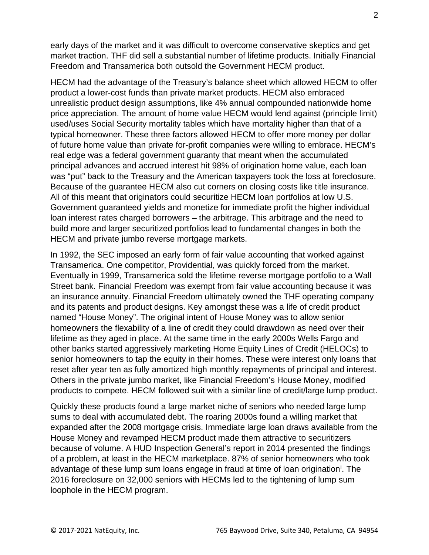early days of the market and it was difficult to overcome conservative skeptics and get market traction. THF did sell a substantial number of lifetime products. Initially Financial Freedom and Transamerica both outsold the Government HECM product.

HECM had the advantage of the Treasury's balance sheet which allowed HECM to offer product a lower-cost funds than private market products. HECM also embraced unrealistic product design assumptions, like 4% annual compounded nationwide home price appreciation. The amount of home value HECM would lend against (principle limit) used/uses Social Security mortality tables which have mortality higher than that of a typical homeowner. These three factors allowed HECM to offer more money per dollar of future home value than private for-profit companies were willing to embrace. HECM's real edge was a federal government guaranty that meant when the accumulated principal advances and accrued interest hit 98% of origination home value, each loan was "put" back to the Treasury and the American taxpayers took the loss at foreclosure. Because of the guarantee HECM also cut corners on closing costs like title insurance. All of this meant that originators could securitize HECM loan portfolios at low U.S. Government guaranteed yields and monetize for immediate profit the higher individual loan interest rates charged borrowers – the arbitrage. This arbitrage and the need to build more and larger securitized portfolios lead to fundamental changes in both the HECM and private jumbo reverse mortgage markets.

In 1992, the SEC imposed an early form of fair value accounting that worked against Transamerica. One competitor, Providential, was quickly forced from the market. Eventually in 1999, Transamerica sold the lifetime reverse mortgage portfolio to a Wall Street bank. Financial Freedom was exempt from fair value accounting because it was an insurance annuity. Financial Freedom ultimately owned the THF operating company and its patents and product designs. Key amongst these was a life of credit product named "House Money". The original intent of House Money was to allow senior homeowners the flexability of a line of credit they could drawdown as need over their lifetime as they aged in place. At the same time in the early 2000s Wells Fargo and other banks started aggressively marketing Home Equity Lines of Credit (HELOCs) to senior homeowners to tap the equity in their homes. These were interest only loans that reset after year ten as fully amortized high monthly repayments of principal and interest. Others in the private jumbo market, like Financial Freedom's House Money, modified products to compete. HECM followed suit with a similar line of credit/large lump product.

Quickly these products found a large market niche of seniors who needed large lump sums to deal with accumulated debt. The roaring 2000s found a willing market that expanded after the 2008 mortgage crisis. Immediate large loan draws available from the House Money and revamped HECM product made them attractive to securitizers because of volume. A HUD Inspection General's report in 2014 presented the findings of a problem, at least in the HECM marketplace. 87% of senior homeowners who took advantage of these lump sum loans engage [i](#page-4-0)n fraud at time of loan origination<sup>i</sup>. The 2016 foreclosure on 32,000 seniors with HECMs led to the tightening of lump sum loophole in the HECM program.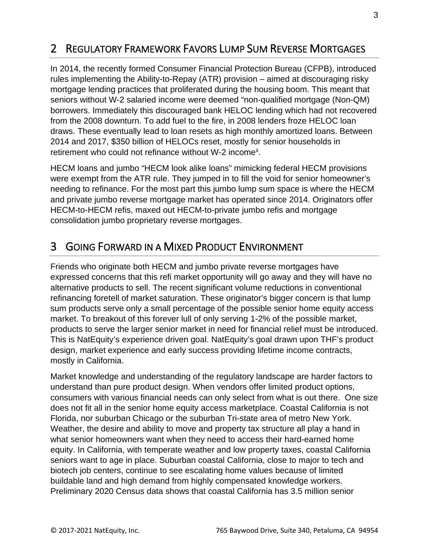## 2 REGULATORY FRAMEWORK FAVORS LUMP SUM REVERSE MORTGAGES

In 2014, the recently formed Consumer Financial Protection Bureau (CFPB), introduced rules implementing the Ability-to-Repay (ATR) provision – aimed at discouraging risky mortgage lending practices that proliferated during the housing boom. This meant that seniors without W-2 salaried income were deemed "non-qualified mortgage (Non-QM) borrowers. Immediately this discouraged bank HELOC lending which had not recovered from the 2008 downturn. To add fuel to the fire, in 2008 lenders froze HELOC loan draws. These eventually lead to loan resets as high monthly amortized loans. Between 2014 and 2017, \$350 billion of HELOCs reset, mostly for senior households in retirement who could not refinance without W-2 income<sup>[ii](#page-4-1)</sup>.

HECM loans and jumbo "HECM look alike loans" mimicking federal HECM provisions were exempt from the ATR rule. They jumped in to fill the void for senior homeowner's needing to refinance. For the most part this jumbo lump sum space is where the HECM and private jumbo reverse mortgage market has operated since 2014. Originators offer HECM-to-HECM refis, maxed out HECM-to-private jumbo refis and mortgage consolidation jumbo proprietary reverse mortgages.

### 3 GOING FORWARD IN A MIXED PRODUCT ENVIRONMENT

Friends who originate both HECM and jumbo private reverse mortgages have expressed concerns that this refi market opportunity will go away and they will have no alternative products to sell. The recent significant volume reductions in conventional refinancing foretell of market saturation. These originator's bigger concern is that lump sum products serve only a small percentage of the possible senior home equity access market. To breakout of this forever lull of only serving 1-2% of the possible market, products to serve the larger senior market in need for financial relief must be introduced. This is NatEquity's experience driven goal. NatEquity's goal drawn upon THF's product design, market experience and early success providing lifetime income contracts, mostly in California.

Market knowledge and understanding of the regulatory landscape are harder factors to understand than pure product design. When vendors offer limited product options, consumers with various financial needs can only select from what is out there. One size does not fit all in the senior home equity access marketplace. Coastal California is not Florida, nor suburban Chicago or the suburban Tri-state area of metro New York. Weather, the desire and ability to move and property tax structure all play a hand in what senior homeowners want when they need to access their hard-earned home equity. In California, with temperate weather and low property taxes, coastal California seniors want to age in place. Suburban coastal California, close to major to tech and biotech job centers, continue to see escalating home values because of limited buildable land and high demand from highly compensated knowledge workers. Preliminary 2020 Census data shows that coastal California has 3.5 million senior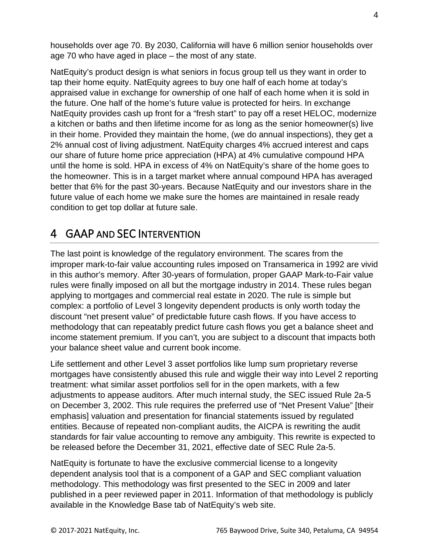households over age 70. By 2030, California will have 6 million senior households over age 70 who have aged in place – the most of any state.

NatEquity's product design is what seniors in focus group tell us they want in order to tap their home equity. NatEquity agrees to buy one half of each home at today's appraised value in exchange for ownership of one half of each home when it is sold in the future. One half of the home's future value is protected for heirs. In exchange NatEquity provides cash up front for a "fresh start" to pay off a reset HELOC, modernize a kitchen or baths and then lifetime income for as long as the senior homeowner(s) live in their home. Provided they maintain the home, (we do annual inspections), they get a 2% annual cost of living adjustment. NatEquity charges 4% accrued interest and caps our share of future home price appreciation (HPA) at 4% cumulative compound HPA until the home is sold. HPA in excess of 4% on NatEquity's share of the home goes to the homeowner. This is in a target market where annual compound HPA has averaged better that 6% for the past 30-years. Because NatEquity and our investors share in the future value of each home we make sure the homes are maintained in resale ready condition to get top dollar at future sale.

## 4 GAAP AND SEC INTERVENTION

The last point is knowledge of the regulatory environment. The scares from the improper mark-to-fair value accounting rules imposed on Transamerica in 1992 are vivid in this author's memory. After 30-years of formulation, proper GAAP Mark-to-Fair value rules were finally imposed on all but the mortgage industry in 2014. These rules began applying to mortgages and commercial real estate in 2020. The rule is simple but complex: a portfolio of Level 3 longevity dependent products is only worth today the discount "net present value" of predictable future cash flows. If you have access to methodology that can repeatably predict future cash flows you get a balance sheet and income statement premium. If you can't, you are subject to a discount that impacts both your balance sheet value and current book income.

Life settlement and other Level 3 asset portfolios like lump sum proprietary reverse mortgages have consistently abused this rule and wiggle their way into Level 2 reporting treatment: what similar asset portfolios sell for in the open markets, with a few adjustments to appease auditors. After much internal study, the SEC issued Rule 2a-5 on December 3, 2002. This rule requires the preferred use of "Net Present Value" [their emphasis] valuation and presentation for financial statements issued by regulated entities. Because of repeated non-compliant audits, the AICPA is rewriting the audit standards for fair value accounting to remove any ambiguity. This rewrite is expected to be released before the December 31, 2021, effective date of SEC Rule 2a-5.

NatEquity is fortunate to have the exclusive commercial license to a longevity dependent analysis tool that is a component of a GAP and SEC compliant valuation methodology. This methodology was first presented to the SEC in 2009 and later published in a peer reviewed paper in 2011. Information of that methodology is publicly available in the Knowledge Base tab of NatEquity's web site.